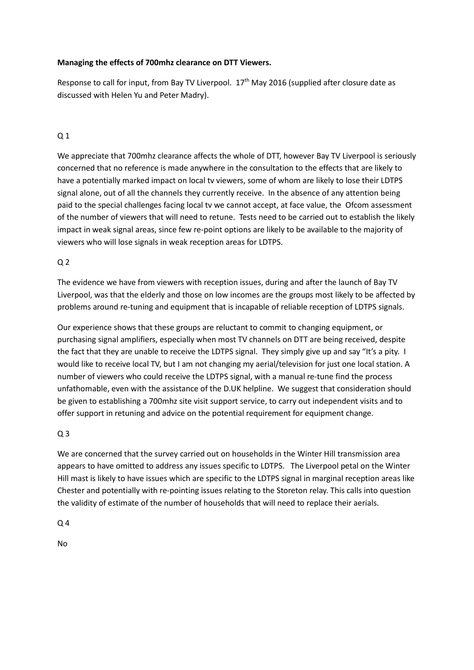#### **Managing the effects of 700mhz clearance on DTT Viewers.**

Response to call for input, from Bay TV Liverpool.  $17<sup>th</sup>$  May 2016 (supplied after closure date as discussed with Helen Yu and Peter Madry).

### Q 1

We appreciate that 700mhz clearance affects the whole of DTT, however Bay TV Liverpool is seriously concerned that no reference is made anywhere in the consultation to the effects that are likely to have a potentially marked impact on local tv viewers, some of whom are likely to lose their LDTPS signal alone, out of all the channels they currently receive. In the absence of any attention being paid to the special challenges facing local tv we cannot accept, at face value, the Ofcom assessment of the number of viewers that will need to retune. Tests need to be carried out to establish the likely impact in weak signal areas, since few re-point options are likely to be available to the majority of viewers who will lose signals in weak reception areas for LDTPS.

#### $Q<sub>2</sub>$

The evidence we have from viewers with reception issues, during and after the launch of Bay TV Liverpool, was that the elderly and those on low incomes are the groups most likely to be affected by problems around re-tuning and equipment that is incapable of reliable reception of LDTPS signals.

Our experience shows that these groups are reluctant to commit to changing equipment, or purchasing signal amplifiers, especially when most TV channels on DTT are being received, despite the fact that they are unable to receive the LDTPS signal. They simply give up and say "It's a pity. I would like to receive local TV, but I am not changing my aerial/television for just one local station. A number of viewers who could receive the LDTPS signal, with a manual re-tune find the process unfathomable, even with the assistance of the D.UK helpline. We suggest that consideration should be given to establishing a 700mhz site visit support service, to carry out independent visits and to offer support in retuning and advice on the potential requirement for equipment change.

#### Q 3

We are concerned that the survey carried out on households in the Winter Hill transmission area appears to have omitted to address any issues specific to LDTPS. The Liverpool petal on the Winter Hill mast is likely to have issues which are specific to the LDTPS signal in marginal reception areas like Chester and potentially with re-pointing issues relating to the Storeton relay. This calls into question the validity of estimate of the number of households that will need to replace their aerials.

Q 4

No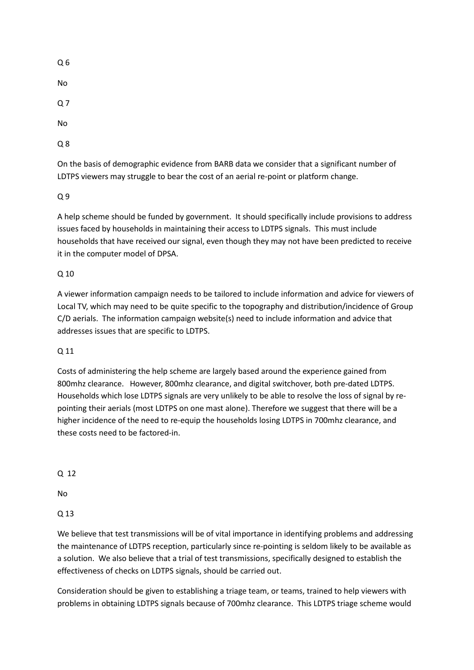Q 6

No

Q 7

No

Q 8

On the basis of demographic evidence from BARB data we consider that a significant number of LDTPS viewers may struggle to bear the cost of an aerial re-point or platform change.

Q 9

A help scheme should be funded by government. It should specifically include provisions to address issues faced by households in maintaining their access to LDTPS signals. This must include households that have received our signal, even though they may not have been predicted to receive it in the computer model of DPSA.

# Q 10

A viewer information campaign needs to be tailored to include information and advice for viewers of Local TV, which may need to be quite specific to the topography and distribution/incidence of Group C/D aerials. The information campaign website(s) need to include information and advice that addresses issues that are specific to LDTPS.

## Q 11

Costs of administering the help scheme are largely based around the experience gained from 800mhz clearance. However, 800mhz clearance, and digital switchover, both pre-dated LDTPS. Households which lose LDTPS signals are very unlikely to be able to resolve the loss of signal by repointing their aerials (most LDTPS on one mast alone). Therefore we suggest that there will be a higher incidence of the need to re-equip the households losing LDTPS in 700mhz clearance, and these costs need to be factored-in.

Q 12

No

Q 13

We believe that test transmissions will be of vital importance in identifying problems and addressing the maintenance of LDTPS reception, particularly since re-pointing is seldom likely to be available as a solution. We also believe that a trial of test transmissions, specifically designed to establish the effectiveness of checks on LDTPS signals, should be carried out.

Consideration should be given to establishing a triage team, or teams, trained to help viewers with problems in obtaining LDTPS signals because of 700mhz clearance. This LDTPS triage scheme would